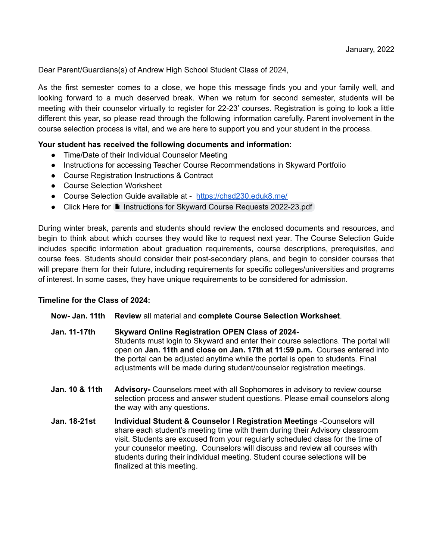Dear Parent/Guardians(s) of Andrew High School Student Class of 2024,

As the first semester comes to a close, we hope this message finds you and your family well, and looking forward to a much deserved break. When we return for second semester, students will be meeting with their counselor virtually to register for 22-23' courses. Registration is going to look a little different this year, so please read through the following information carefully. Parent involvement in the course selection process is vital, and we are here to support you and your student in the process.

## **Your student has received the following documents and information:**

- Time/Date of their Individual Counselor Meeting
- Instructions for accessing Teacher Course Recommendations in Skyward Portfolio
- Course Registration Instructions & Contract
- Course Selection Worksheet
- Course Selection Guide available at <https://chsd230.eduk8.me/>
- Click Here for **I** Instructions for Skyward Course Requests [2022-23.pdf](https://drive.google.com/file/d/1r5XjIPo17XskcJTO8VGvfO-qwIAkt6ZM/view)

During winter break, parents and students should review the enclosed documents and resources, and begin to think about which courses they would like to request next year. The Course Selection Guide includes specific information about graduation requirements, course descriptions, prerequisites, and course fees. Students should consider their post-secondary plans, and begin to consider courses that will prepare them for their future, including requirements for specific colleges/universities and programs of interest. In some cases, they have unique requirements to be considered for admission.

## **Timeline for the Class of 2024:**

**Now- Jan. 11th Review** all material and **complete Course Selection Worksheet**.

- **Jan. 11-17th Skyward Online Registration OPEN Class of 2024-** Students must login to Skyward and enter their course selections. The portal will open on **Jan. 11th and close on Jan. 17th at 11:59 p.m.** Courses entered into the portal can be adjusted anytime while the portal is open to students. Final adjustments will be made during student/counselor registration meetings.
- **Jan. 10 & 11th Advisory-** Counselors meet with all Sophomores in advisory to review course selection process and answer student questions. Please email counselors along the way with any questions.
- **Jan. 18-21st Individual Student & Counselor l Registration Meeting**s -Counselors will share each student's meeting time with them during their Advisory classroom visit. Students are excused from your regularly scheduled class for the time of your counselor meeting. Counselors will discuss and review all courses with students during their individual meeting. Student course selections will be finalized at this meeting.